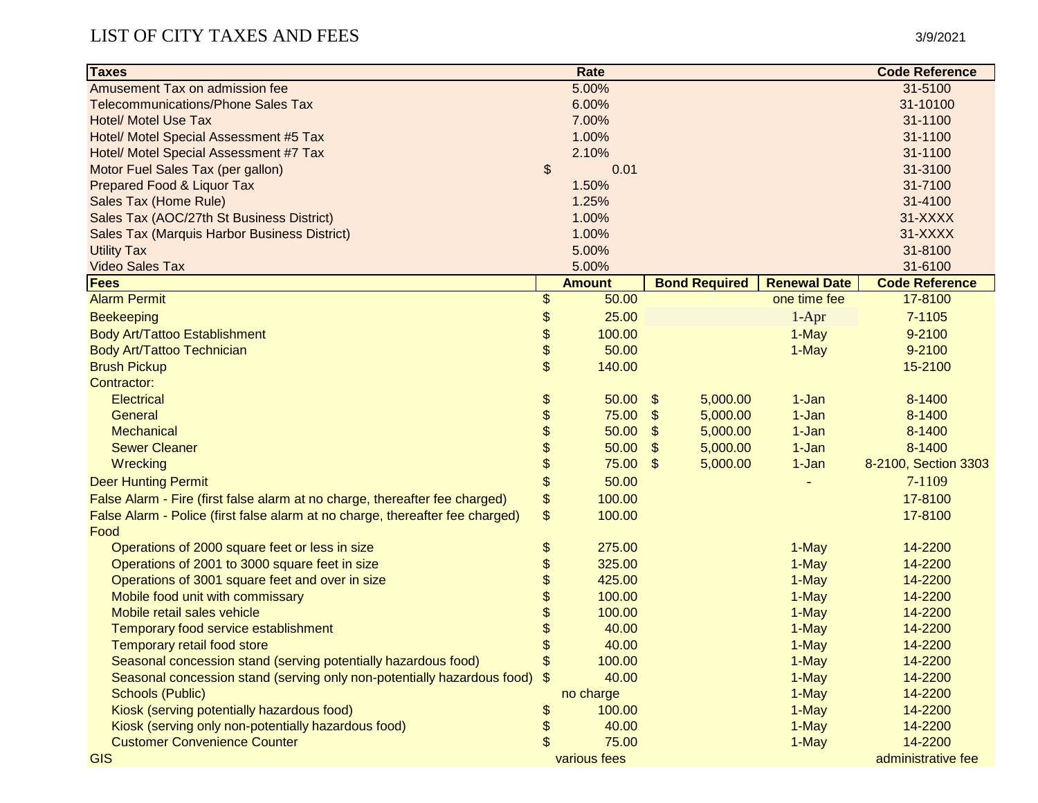## LIST OF CITY TAXES AND FEES 3/9/2021

| <b>Taxes</b>                                                                  |               | Rate          |         |                      |                     | <b>Code Reference</b> |
|-------------------------------------------------------------------------------|---------------|---------------|---------|----------------------|---------------------|-----------------------|
| Amusement Tax on admission fee                                                |               | 5.00%         |         |                      |                     | 31-5100               |
| <b>Telecommunications/Phone Sales Tax</b>                                     |               | 6.00%         |         |                      |                     | 31-10100              |
| <b>Hotel/ Motel Use Tax</b>                                                   |               | 7.00%         |         |                      |                     | 31-1100               |
| Hotel/ Motel Special Assessment #5 Tax                                        |               | 1.00%         |         |                      |                     | 31-1100               |
| Hotel/ Motel Special Assessment #7 Tax                                        |               | 2.10%         |         |                      |                     | 31-1100               |
| Motor Fuel Sales Tax (per gallon)                                             | $\frac{1}{2}$ | 0.01          |         |                      |                     | 31-3100               |
| Prepared Food & Liquor Tax                                                    |               | 1.50%         | 31-7100 |                      |                     |                       |
| Sales Tax (Home Rule)                                                         |               | 1.25%         | 31-4100 |                      |                     |                       |
| Sales Tax (AOC/27th St Business District)                                     |               | 1.00%         | 31-XXXX |                      |                     |                       |
| Sales Tax (Marquis Harbor Business District)                                  |               | 1.00%         | 31-XXXX |                      |                     |                       |
| <b>Utility Tax</b>                                                            |               | 5.00%         | 31-8100 |                      |                     |                       |
| <b>Video Sales Tax</b>                                                        |               | 5.00%         |         | 31-6100              |                     |                       |
| <b>Fees</b>                                                                   |               | <b>Amount</b> |         | <b>Bond Required</b> | <b>Renewal Date</b> | <b>Code Reference</b> |
| <b>Alarm Permit</b>                                                           | \$            | 50.00         |         |                      | one time fee        | 17-8100               |
| <b>Beekeeping</b>                                                             | \$            | 25.00         |         |                      | $1-Apr$             | 7-1105                |
| Body Art/Tattoo Establishment                                                 | \$            | 100.00        |         |                      | 1-May               | 9-2100                |
| Body Art/Tattoo Technician                                                    | \$            | 50.00         |         |                      | 1-May               | 9-2100                |
| <b>Brush Pickup</b>                                                           | $\mathsf{\$}$ | 140.00        |         |                      |                     | 15-2100               |
| Contractor:                                                                   |               |               |         |                      |                     |                       |
| <b>Electrical</b>                                                             | \$            | 50.00         | \$      | 5,000.00             | $1-Jan$             | 8-1400                |
| General                                                                       | \$            | 75.00         | \$      | 5,000.00             | $1-Jan$             | 8-1400                |
| Mechanical                                                                    | \$            | 50.00         | \$      | 5,000.00             | $1-Jan$             | 8-1400                |
| <b>Sewer Cleaner</b>                                                          | \$            | 50.00         | \$      | 5,000.00             | $1-Jan$             | 8-1400                |
| Wrecking                                                                      | \$            | 75.00         | \$      | 5,000.00             | $1-Jan$             | 8-2100, Section 3303  |
| <b>Deer Hunting Permit</b>                                                    | \$            | 50.00         |         |                      |                     | 7-1109                |
| False Alarm - Fire (first false alarm at no charge, thereafter fee charged)   | \$            | 100.00        |         |                      |                     | 17-8100               |
| False Alarm - Police (first false alarm at no charge, thereafter fee charged) | \$            | 100.00        |         |                      |                     | 17-8100               |
| Food                                                                          |               |               |         |                      |                     |                       |
| Operations of 2000 square feet or less in size                                | \$            | 275.00        |         |                      | 1-May               | 14-2200               |
| Operations of 2001 to 3000 square feet in size                                | \$            | 325.00        |         |                      | 1-May               | 14-2200               |
| Operations of 3001 square feet and over in size                               | \$            | 425.00        |         |                      | 1-May               | 14-2200               |
| Mobile food unit with commissary                                              | \$            | 100.00        |         |                      | 1-May               | 14-2200               |
| Mobile retail sales vehicle                                                   | \$            | 100.00        |         |                      | 1-May               | 14-2200               |
| Temporary food service establishment                                          | \$            | 40.00         |         |                      | 1-May               | 14-2200               |
| Temporary retail food store                                                   |               | 40.00         |         |                      | 1-May               | 14-2200               |
| Seasonal concession stand (serving potentially hazardous food)                | \$            | 100.00        |         |                      | 1-May               | 14-2200               |
| Seasonal concession stand (serving only non-potentially hazardous food)       |               | 40.00         |         |                      | 1-May               | 14-2200               |
| Schools (Public)                                                              |               | no charge     |         |                      | 1-May               | 14-2200               |
| Kiosk (serving potentially hazardous food)                                    | \$            | 100.00        |         |                      | 1-May               | 14-2200               |
| Kiosk (serving only non-potentially hazardous food)                           | \$            | 40.00         |         |                      | 1-May               | 14-2200               |
| <b>Customer Convenience Counter</b>                                           | \$            | 75.00         |         |                      | 1-May               | 14-2200               |
| <b>GIS</b>                                                                    |               | various fees  |         |                      |                     | administrative fee    |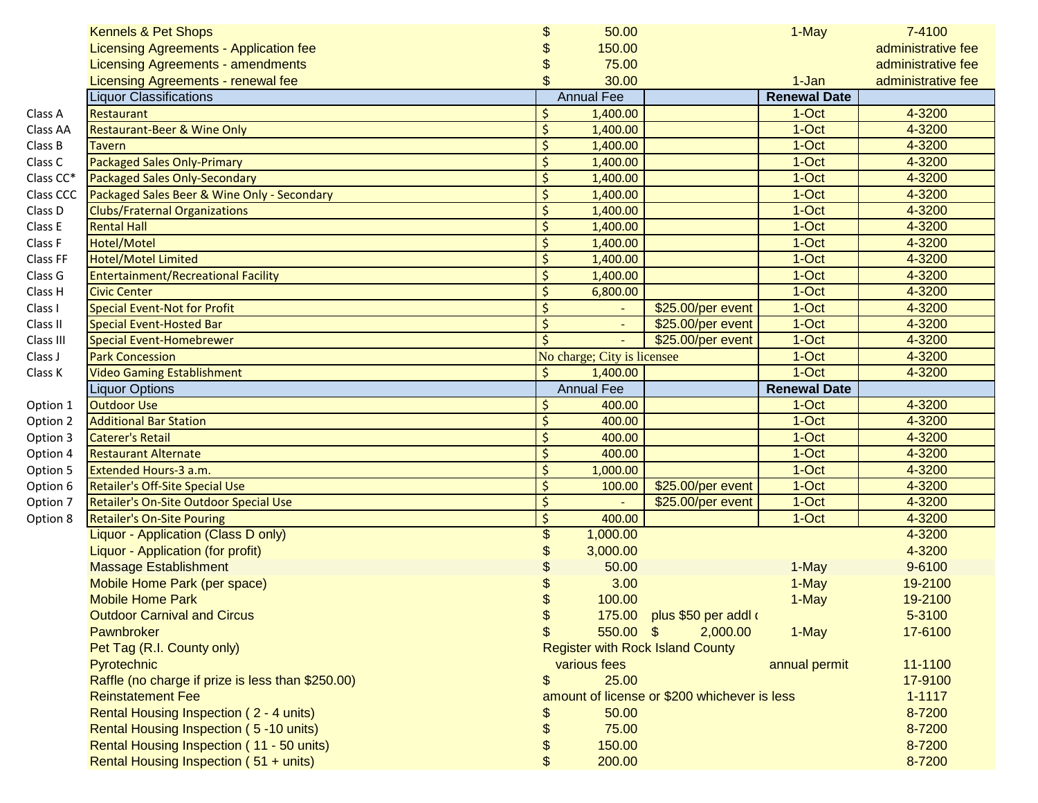|           | <b>Kennels &amp; Pet Shops</b>                    | \$      | 50.00                                        |                                         | 1-May               | 7-4100             |
|-----------|---------------------------------------------------|---------|----------------------------------------------|-----------------------------------------|---------------------|--------------------|
|           | Licensing Agreements - Application fee            | \$      | 150.00                                       |                                         |                     | administrative fee |
|           | <b>Licensing Agreements - amendments</b>          | \$      | 75.00                                        |                                         |                     | administrative fee |
|           | Licensing Agreements - renewal fee                | \$      | 30.00                                        |                                         | 1-Jan               | administrative fee |
|           | iquor Classifications                             |         | <b>Annual Fee</b>                            |                                         | <b>Renewal Date</b> |                    |
| Class A   | Restaurant                                        | Ś.      | 1,400.00                                     |                                         | 1-Oct               | 4-3200             |
| Class AA  | Restaurant-Beer & Wine Only                       | Ŝ.      | 1,400.00                                     |                                         | $1-Oct$             | 4-3200             |
| Class B   | Tavern                                            | Ŝ.      | 1,400.00                                     |                                         | 1-Oct               | 4-3200             |
| Class C   | Packaged Sales Only-Primary                       | \$      | 1,400.00                                     |                                         | 1-Oct               | 4-3200             |
| Class CC* | Packaged Sales Only-Secondary                     | $\zeta$ | 1,400.00                                     |                                         | 1-Oct               | 4-3200             |
| Class CCC | Packaged Sales Beer & Wine Only - Secondary       | $\zeta$ | 1,400.00                                     |                                         | 1-Oct               | 4-3200             |
| Class D   | <b>Clubs/Fraternal Organizations</b>              | \$      | 1,400.00                                     |                                         | 1-Oct               | 4-3200             |
| Class E   | <b>Rental Hall</b>                                | \$      | 1,400.00                                     |                                         | 1-Oct               | 4-3200             |
| Class F   | Hotel/Motel                                       | \$      | 1,400.00                                     |                                         | 1-Oct               | 4-3200             |
| Class FF  | <b>Hotel/Motel Limited</b>                        | $\zeta$ | 1,400.00                                     |                                         | 1-Oct               | 4-3200             |
| Class G   | Entertainment/Recreational Facility               | Ś.      | 1,400.00                                     |                                         | 1-Oct               | 4-3200             |
| Class H   | <b>Civic Center</b>                               | \$      | 6,800.00                                     |                                         | 1-Oct               | 4-3200             |
| Class I   | <b>Special Event-Not for Profit</b>               | \$      |                                              | \$25.00/per event                       | 1-Oct               | 4-3200             |
| Class II  | <b>Special Event-Hosted Bar</b>                   | $\zeta$ |                                              | \$25.00/per event                       | 1-Oct               | 4-3200             |
| Class III | <b>Special Event-Homebrewer</b>                   | \$      |                                              | \$25.00/per event                       | 1-Oct               | 4-3200             |
| Class J   | <b>Park Concession</b>                            |         | No charge; City is licensee                  |                                         | 1-Oct               | 4-3200             |
| Class K   | <b>Video Gaming Establishment</b>                 | Ŝ.      | 1,400.00                                     |                                         | 1-Oct               | 4-3200             |
|           | Liquor Options                                    |         | <b>Annual Fee</b>                            |                                         | <b>Renewal Date</b> |                    |
| Option 1  | <b>Outdoor Use</b>                                | Ŝ.      | 400.00                                       |                                         | 1-Oct               | 4-3200             |
| Option 2  | <b>Additional Bar Station</b>                     | \$      | 400.00                                       |                                         | 1-Oct               | 4-3200             |
| Option 3  | <b>Caterer's Retail</b>                           | \$      | 400.00                                       |                                         | 1-Oct               | 4-3200             |
| Option 4  | <b>Restaurant Alternate</b>                       | $\zeta$ | 400.00                                       |                                         | 1-Oct               | 4-3200             |
| Option 5  | Extended Hours-3 a.m.                             | \$      | 1,000.00                                     |                                         | 1-Oct               | 4-3200             |
| Option 6  | Retailer's Off-Site Special Use                   | \$      | 100.00                                       | \$25.00/per event                       | 1-Oct               | 4-3200             |
| Option 7  | Retailer's On-Site Outdoor Special Use            | $\zeta$ |                                              | \$25.00/per event                       | 1-Oct               | 4-3200             |
| Option 8  | <b>Retailer's On-Site Pouring</b>                 | $\zeta$ | 400.00                                       |                                         | 1-Oct               | 4-3200             |
|           | Liquor - Application (Class D only)               | \$      | 1,000.00                                     |                                         |                     | 4-3200             |
|           | Liquor - Application (for profit)                 | \$      | 3,000.00                                     |                                         |                     | 4-3200             |
|           | <b>Massage Establishment</b>                      | \$      | 50.00                                        |                                         | 1-May               | 9-6100             |
|           | Mobile Home Park (per space)                      | \$      | 3.00                                         |                                         | 1-May               | 19-2100            |
|           | <b>Mobile Home Park</b>                           | \$      | 100.00                                       |                                         | 1-May               | 19-2100            |
|           | <b>Outdoor Carnival and Circus</b>                | \$      |                                              | 175.00 plus \$50 per addl of            |                     | 5-3100             |
|           | Pawnbroker                                        | \$      | $550.00$ \$                                  | 2,000.00                                | 1-May               | 17-6100            |
|           | Pet Tag (R.I. County only)                        |         |                                              | <b>Register with Rock Island County</b> |                     |                    |
|           | Pyrotechnic                                       |         | various fees                                 |                                         | annual permit       | 11-1100            |
|           | Raffle (no charge if prize is less than \$250.00) | \$      | 25.00                                        |                                         |                     | 17-9100            |
|           | <b>Reinstatement Fee</b>                          |         | amount of license or \$200 whichever is less | $1 - 1117$                              |                     |                    |
|           | Rental Housing Inspection (2 - 4 units)           | \$      | 50.00                                        |                                         |                     | 8-7200             |
|           | Rental Housing Inspection (5-10 units)            | \$      | 75.00                                        |                                         |                     | 8-7200             |
|           | Rental Housing Inspection (11 - 50 units)         | \$      | 150.00                                       |                                         |                     | 8-7200             |
|           | Rental Housing Inspection (51 + units)            | \$      | 200.00                                       |                                         |                     | 8-7200             |